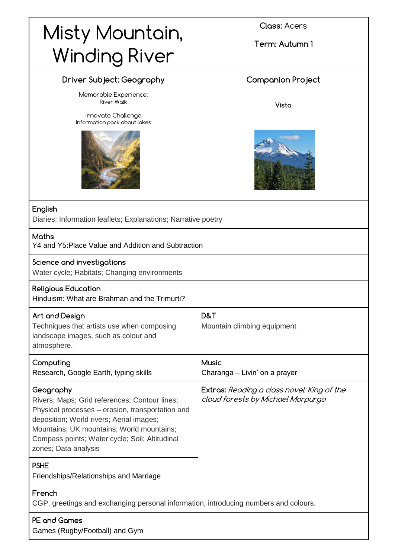| Misty Mountain,<br><b>Winding River</b>                                                                                                                                                                                                                                           | <b>Class: Acers</b><br>Term: Autumn 1                                           |
|-----------------------------------------------------------------------------------------------------------------------------------------------------------------------------------------------------------------------------------------------------------------------------------|---------------------------------------------------------------------------------|
| Driver Subject: Geography<br>Memorable Experience:<br><b>River Walk</b><br>Innovate Challenge<br>Information pack about lakes                                                                                                                                                     | Companion Project<br>Vista                                                      |
| English<br>Diaries; Information leaflets; Explanations; Narrative poetry                                                                                                                                                                                                          |                                                                                 |
| <b>Maths</b><br>Y4 and Y5: Place Value and Addition and Subtraction                                                                                                                                                                                                               |                                                                                 |
| Science and investigations<br>Water cycle; Habitats; Changing environments                                                                                                                                                                                                        |                                                                                 |
| <b>Religious Education</b><br>Hinduism: What are Brahman and the Trimurti?                                                                                                                                                                                                        |                                                                                 |
| Art and Design<br>Techniques that artists use when composing<br>landscape images, such as colour and<br>atmosphere.                                                                                                                                                               | D&T<br>Mountain climbing equipment                                              |
| Computing<br>Research, Google Earth, typing skills                                                                                                                                                                                                                                | <b>Music</b><br>Charanga - Livin' on a prayer                                   |
| Geography<br>Rivers; Maps; Grid references; Contour lines;<br>Physical processes – erosion, transportation and<br>deposition; World rivers; Aerial images;<br>Mountains; UK mountains; World mountains;<br>Compass points; Water cycle; Soil; Altitudinal<br>zones; Data analysis | Extras: Reading a class novel: King of the<br>cloud forests by Michael Morpurgo |
| <b>PSHE</b><br>Friendships/Relationships and Marriage                                                                                                                                                                                                                             |                                                                                 |
| French<br>CGP, greetings and exchanging personal information, introducing numbers and colours.                                                                                                                                                                                    |                                                                                 |

**PE and Games** Games (Rugby/Football) and Gym